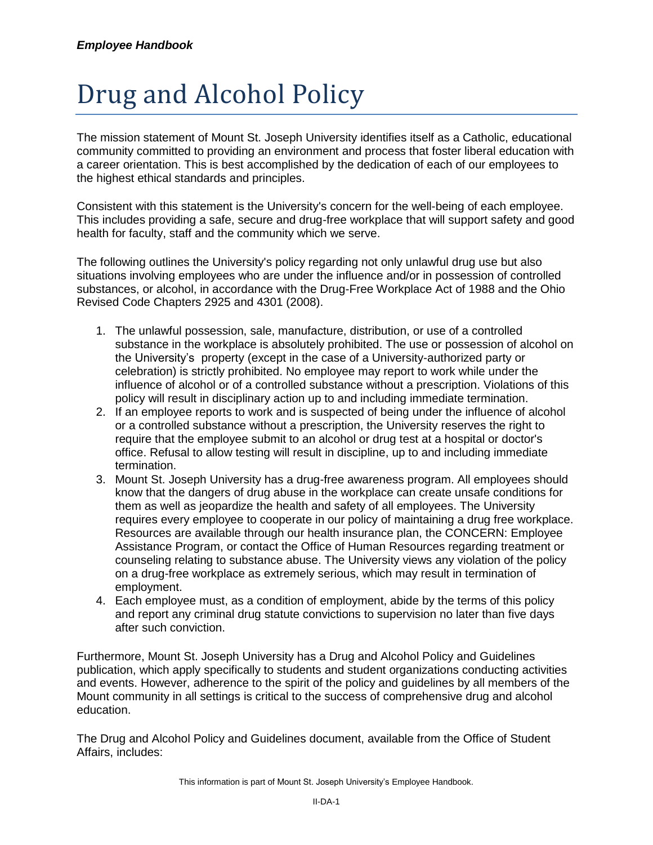## Drug and Alcohol Policy

The mission statement of Mount St. Joseph University identifies itself as a Catholic, educational community committed to providing an environment and process that foster liberal education with a career orientation. This is best accomplished by the dedication of each of our employees to the highest ethical standards and principles.

Consistent with this statement is the University's concern for the well-being of each employee. This includes providing a safe, secure and drug-free workplace that will support safety and good health for faculty, staff and the community which we serve.

The following outlines the University's policy regarding not only unlawful drug use but also situations involving employees who are under the influence and/or in possession of controlled substances, or alcohol, in accordance with the Drug-Free Workplace Act of 1988 and the Ohio Revised Code Chapters 2925 and 4301 (2008).

- 1. The unlawful possession, sale, manufacture, distribution, or use of a controlled substance in the workplace is absolutely prohibited. The use or possession of alcohol on the University's property (except in the case of a University-authorized party or celebration) is strictly prohibited. No employee may report to work while under the influence of alcohol or of a controlled substance without a prescription. Violations of this policy will result in disciplinary action up to and including immediate termination.
- 2. If an employee reports to work and is suspected of being under the influence of alcohol or a controlled substance without a prescription, the University reserves the right to require that the employee submit to an alcohol or drug test at a hospital or doctor's office. Refusal to allow testing will result in discipline, up to and including immediate termination.
- 3. Mount St. Joseph University has a drug-free awareness program. All employees should know that the dangers of drug abuse in the workplace can create unsafe conditions for them as well as jeopardize the health and safety of all employees. The University requires every employee to cooperate in our policy of maintaining a drug free workplace. Resources are available through our health insurance plan, the CONCERN: Employee Assistance Program, or contact the Office of Human Resources regarding treatment or counseling relating to substance abuse. The University views any violation of the policy on a drug-free workplace as extremely serious, which may result in termination of employment.
- 4. Each employee must, as a condition of employment, abide by the terms of this policy and report any criminal drug statute convictions to supervision no later than five days after such conviction.

Furthermore, Mount St. Joseph University has a Drug and Alcohol Policy and Guidelines publication, which apply specifically to students and student organizations conducting activities and events. However, adherence to the spirit of the policy and guidelines by all members of the Mount community in all settings is critical to the success of comprehensive drug and alcohol education.

The Drug and Alcohol Policy and Guidelines document, available from the Office of Student Affairs, includes: